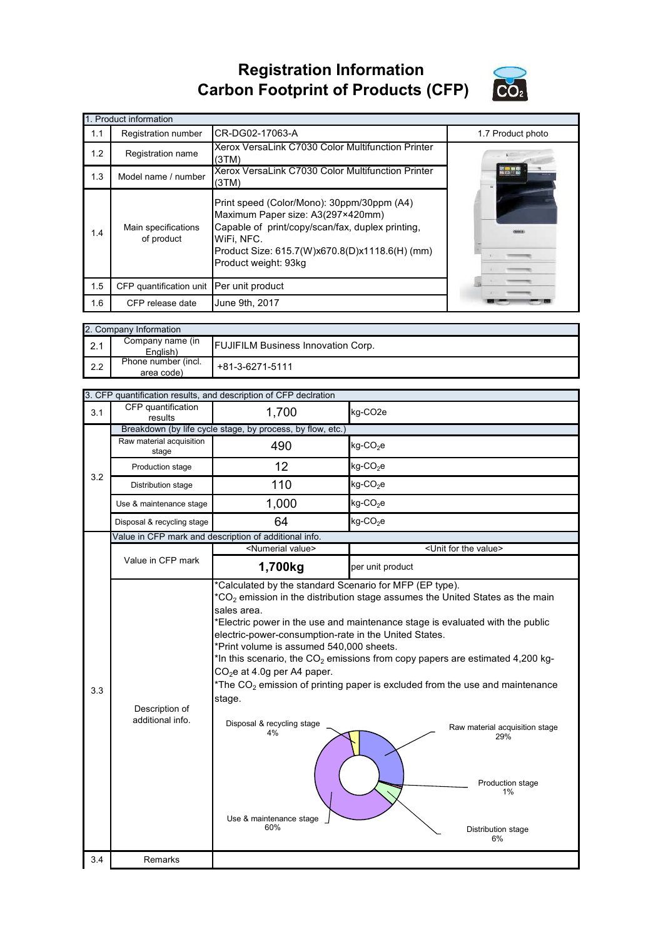## **Registration Information Carbon Footprint of Products (CFP)**



|     | 1. Product information                   |                                                                                                                                                                                                                             |                   |  |  |  |
|-----|------------------------------------------|-----------------------------------------------------------------------------------------------------------------------------------------------------------------------------------------------------------------------------|-------------------|--|--|--|
| 1.1 | Registration number                      | CR-DG02-17063-A                                                                                                                                                                                                             | 1.7 Product photo |  |  |  |
| 1.2 | Registration name                        | Xerox VersaLink C7030 Color Multifunction Printer<br>(3TM)                                                                                                                                                                  |                   |  |  |  |
| 1.3 | Model name / number                      | Xerox VersaLink C7030 Color Multifunction Printer<br>(3TM)                                                                                                                                                                  |                   |  |  |  |
| 1.4 | Main specifications<br>of product        | Print speed (Color/Mono): 30ppm/30ppm (A4)<br>Maximum Paper size: A3(297×420mm)<br>Capable of print/copy/scan/fax, duplex printing,<br>WiFi, NFC.<br>Product Size: 615.7(W)x670.8(D)x1118.6(H) (mm)<br>Product weight: 93kg |                   |  |  |  |
| 1.5 | CFP quantification unit Per unit product |                                                                                                                                                                                                                             |                   |  |  |  |
| 1.6 | CFP release date                         | June 9th, 2017                                                                                                                                                                                                              |                   |  |  |  |

|     | 2. Company Information            |                                           |  |  |  |
|-----|-----------------------------------|-------------------------------------------|--|--|--|
| 2.1 | Company name (in<br>English)      | <b>FUJIFILM Business Innovation Corp.</b> |  |  |  |
| 2.2 | Phone number (incl.<br>area code) | +81-3-6271-5111                           |  |  |  |

|     |                                    | 3. CFP quantification results, and description of CFP declration                                                                                                                                                                                                                            |                                                                                                                                                                                                                                                                                                                                                                                                                                                          |
|-----|------------------------------------|---------------------------------------------------------------------------------------------------------------------------------------------------------------------------------------------------------------------------------------------------------------------------------------------|----------------------------------------------------------------------------------------------------------------------------------------------------------------------------------------------------------------------------------------------------------------------------------------------------------------------------------------------------------------------------------------------------------------------------------------------------------|
| 3.1 | CFP quantification<br>results      | 1,700                                                                                                                                                                                                                                                                                       | kg-CO <sub>2e</sub>                                                                                                                                                                                                                                                                                                                                                                                                                                      |
|     |                                    | Breakdown (by life cycle stage, by process, by flow, etc.)                                                                                                                                                                                                                                  |                                                                                                                                                                                                                                                                                                                                                                                                                                                          |
|     | Raw material acquisition<br>stage  | 490                                                                                                                                                                                                                                                                                         | $kg$ -CO <sub>2</sub> e                                                                                                                                                                                                                                                                                                                                                                                                                                  |
| 3.2 | Production stage                   | 12                                                                                                                                                                                                                                                                                          | $kg$ -CO <sub>2</sub> e                                                                                                                                                                                                                                                                                                                                                                                                                                  |
|     | Distribution stage                 | 110                                                                                                                                                                                                                                                                                         | $kg$ -CO <sub>2</sub> e                                                                                                                                                                                                                                                                                                                                                                                                                                  |
|     | Use & maintenance stage            | 1,000                                                                                                                                                                                                                                                                                       | $kg$ -CO <sub>2</sub> e                                                                                                                                                                                                                                                                                                                                                                                                                                  |
|     | Disposal & recycling stage         | 64                                                                                                                                                                                                                                                                                          | $kg$ -CO <sub>2</sub> e                                                                                                                                                                                                                                                                                                                                                                                                                                  |
|     |                                    | Value in CFP mark and description of additional info.                                                                                                                                                                                                                                       |                                                                                                                                                                                                                                                                                                                                                                                                                                                          |
|     |                                    | <numerial value=""></numerial>                                                                                                                                                                                                                                                              | <unit for="" the="" value=""></unit>                                                                                                                                                                                                                                                                                                                                                                                                                     |
|     | Value in CFP mark                  | 1,700kg                                                                                                                                                                                                                                                                                     | per unit product                                                                                                                                                                                                                                                                                                                                                                                                                                         |
| 3.3 | Description of<br>additional info. | *Calculated by the standard Scenario for MFP (EP type).<br>sales area.<br>electric-power-consumption-rate in the United States.<br>*Print volume is assumed 540,000 sheets.<br>$CO2e$ at 4.0g per A4 paper.<br>stage.<br>Disposal & recycling stage<br>4%<br>Use & maintenance stage<br>60% | $*$ CO <sub>2</sub> emission in the distribution stage assumes the United States as the main<br>*Electric power in the use and maintenance stage is evaluated with the public<br>*In this scenario, the $CO2$ emissions from copy papers are estimated 4,200 kg-<br>*The $CO2$ emission of printing paper is excluded from the use and maintenance<br>Raw material acquisition stage<br>29%<br>Production stage<br>1%<br><b>Distribution stage</b><br>6% |
| 3.4 | Remarks                            |                                                                                                                                                                                                                                                                                             |                                                                                                                                                                                                                                                                                                                                                                                                                                                          |
|     |                                    |                                                                                                                                                                                                                                                                                             |                                                                                                                                                                                                                                                                                                                                                                                                                                                          |